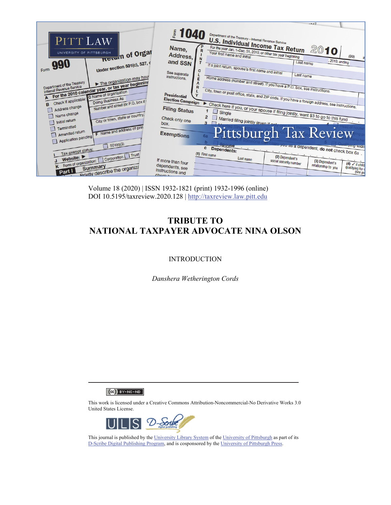|                                                                                                             |                                                 | $-0.17$                                                                                                                                                   |
|-------------------------------------------------------------------------------------------------------------|-------------------------------------------------|-----------------------------------------------------------------------------------------------------------------------------------------------------------|
| PITT LAW                                                                                                    | \$1040                                          | Department of the Treasury-Internal Revenue Service                                                                                                       |
| Return of Organ<br>UNIVERSITY OF PITTSBURGH                                                                 | Name,<br>R<br>Address,                          | <b>U.S. Individual Income Tax Return</b><br>For the year Jan. 1-Dec. 31, 2010, or other tax year beginning<br>2010<br>Your first name and initial<br>(99) |
| Form 990<br>Under section 501(c), 527, o                                                                    | N<br>and SSN<br>C                               | , 2010, ending<br>Last name<br>If a joint return, spouse's first name and initial                                                                         |
| The organization may have                                                                                   | See separate<br>instructions.<br>E              | Last name                                                                                                                                                 |
| Department of the Treasury<br>For the 2010 calendar year, or tax year beginning<br>Internal Revenue Service | $\overline{R}$                                  | Home address (number and street). If you have a P.O. box, see instructions.                                                                               |
| Doing Business As<br>Check if applicable:<br>Number and street (or P.O. box if<br>B                         | <b>Presidential</b><br><b>Election Campaign</b> | City, town or post office, state, and ZIP code. If you have a foreign address, see instructions.                                                          |
| Address change<br>Name change<br>City or town, state or country,                                            | <b>Filing Status</b><br>Check only one          | Check here if you, or your spouse if filing jointly, want \$3 to go to this fund                                                                          |
| Initial return<br>Terminated<br>F Name and address of print                                                 | box.                                            | Married filing jointly (even if only<br>$\mathbf{a}$                                                                                                      |
| Amended return<br>Application pending                                                                       | <b>Exemptions</b>                               | <b>Pittsburgh Tax Review</b><br>6a                                                                                                                        |
| 1501(c)(3)<br>Tax-exempt status:                                                                            |                                                 | <b>POULSE</b><br>you as a dependent, do not check box 6a.<br>$\mathbf{c}$<br>Dependents:<br>(1) First name                                                |
| K Form of organization:     Corporation     Trust<br>Summary                                                | If more than four<br>dependents, see            | (2) Dependent's<br>Last name<br>social security number<br>(3) Dependent's<br>$(4)$ $\checkmark$ if child<br>relationship to you<br>qualifying for d       |
| <b>Priefly describe the organization</b><br>Part I                                                          | instructions and<br>Chack L                     | (see pa)                                                                                                                                                  |

Volume 18 (2020) | ISSN 1932-1821 (print) 1932-1996 (online) DOI 10.5195/taxreview.2020.128 | http://taxreview.law.pitt.edu

# **TRIBUTE TO NATIONAL TAXPAYER ADVOCATE NINA OLSON**

### **INTRODUCTION**

*Danshera Wetherington Cords* 

 $(G)$  BY-NC-ND

This work is licensed under a Creative Commons Attribution-Noncommercial-No Derivative Works 3.0 United States License.



This journal is published by the University Library System of the University of Pittsburgh as part of its D-Scribe Digital Publishing Program, and is cosponsored by the University of Pittsburgh Press.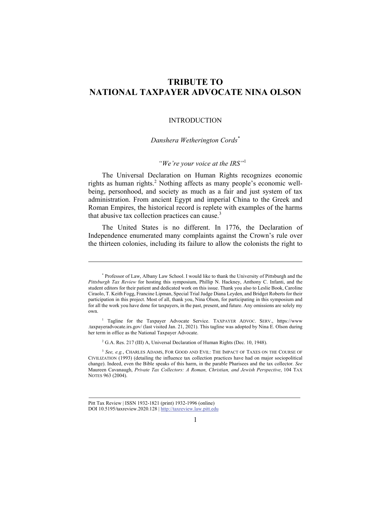## **TRIBUTE TO NATIONAL TAXPAYER ADVOCATE NINA OLSON**

#### INTRODUCTION

#### *Danshera Wetherington Cords\**

#### *"We're your voice at the IRS"*<sup>1</sup>

The Universal Declaration on Human Rights recognizes economic rights as human rights.<sup>2</sup> Nothing affects as many people's economic wellbeing, personhood, and society as much as a fair and just system of tax administration. From ancient Egypt and imperial China to the Greek and Roman Empires, the historical record is replete with examples of the harms that abusive tax collection practices can cause. $3$ 

The United States is no different. In 1776, the Declaration of Independence enumerated many complaints against the Crown's rule over the thirteen colonies, including its failure to allow the colonists the right to

<sup>\*</sup> Professor of Law, Albany Law School. I would like to thank the University of Pittsburgh and the *Pittsburgh Tax Review* for hosting this symposium, Phillip N. Hackney, Anthony C. Infanti, and the student editors for their patient and dedicated work on this issue. Thank you also to Leslie Book, Caroline Ciraolo, T. Keith Fogg, Francine Lipman, Special Trial Judge Diana Leyden, and Bridget Roberts for their participation in this project. Most of all, thank you, Nina Olson, for participating in this symposium and for all the work you have done for taxpayers, in the past, present, and future. Any omissions are solely my own.

<sup>&</sup>lt;sup>1</sup> Tagline for the Taxpayer Advocate Service. TAXPAYER ADVOC. SERV., https://www .taxpayeradvocate.irs.gov/ (last visited Jan. 21, 2021). This tagline was adopted by Nina E. Olson during her term in office as the National Taxpayer Advocate.

<sup>&</sup>lt;sup>2</sup> G.A. Res. 217 (III) A, Universal Declaration of Human Rights (Dec. 10, 1948).

<sup>3</sup> *See, e.g.*, CHARLES ADAMS, FOR GOOD AND EVIL: THE IMPACT OF TAXES ON THE COURSE OF CIVILIZATION (1993) (detailing the influence tax collection practices have had on major sociopolitical change). Indeed, even the Bible speaks of this harm, in the parable Pharisees and the tax collector. *See* Maureen Cavanaugh, *Private Tax Collectors: A Roman, Christian, and Jewish Perspective*, 104 TAX NOTES 963 (2004).

Pitt Tax Review | ISSN 1932-1821 (print) 1932-1996 (online) DOI 10.5195/taxreview.2020.128 | http://taxreview.law.pitt.edu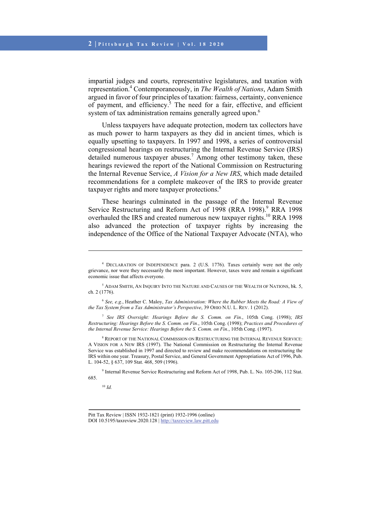impartial judges and courts, representative legislatures, and taxation with representation.4 Contemporaneously, in *The Wealth of Nations*, Adam Smith argued in favor of four principles of taxation: fairness, certainty, convenience of payment, and efficiency.<sup>5</sup> The need for a fair, effective, and efficient system of tax administration remains generally agreed upon.<sup>6</sup>

Unless taxpayers have adequate protection, modern tax collectors have as much power to harm taxpayers as they did in ancient times, which is equally upsetting to taxpayers. In 1997 and 1998, a series of controversial congressional hearings on restructuring the Internal Revenue Service (IRS) detailed numerous taxpayer abuses.<sup>7</sup> Among other testimony taken, these hearings reviewed the report of the National Commission on Restructuring the Internal Revenue Service, *A Vision for a New IRS*, which made detailed recommendations for a complete makeover of the IRS to provide greater taxpayer rights and more taxpayer protections.<sup>8</sup>

These hearings culminated in the passage of the Internal Revenue Service Restructuring and Reform Act of 1998 (RRA 1998).<sup>9</sup> RRA 1998 overhauled the IRS and created numerous new taxpayer rights.<sup>10</sup> RRA 1998 also advanced the protection of taxpayer rights by increasing the independence of the Office of the National Taxpayer Advocate (NTA), who

<sup>7</sup> *See IRS Oversight: Hearings Before the S. Comm. on Fin.*, 105th Cong. (1998); *IRS Restructuring: Hearings Before the S. Comm. on Fin.*, 105th Cong. (1998); *Practices and Procedures of the Internal Revenue Service: Hearings Before the S. Comm. on Fin.*, 105th Cong. (1997).

 $^8$  Report of the National Commission on Restructuring the Internal Revenue Service: A VISION FOR A NEW IRS (1997). The National Commission on Restructuring the Internal Revenue Service was established in 1997 and directed to review and make recommendations on restructuring the IRS within one year. Treasury, Postal Service, and General Government Appropriations Act of 1996, Pub. L. 104-52, § 637, 109 Stat. 468, 509 (1996).

9 Internal Revenue Service Restructuring and Reform Act of 1998, Pub. L. No. 105-206, 112 Stat. 685.

<sup>10</sup> *Id.*

 $\overline{\phantom{a}}$ 

<sup>4</sup> DECLARATION OF INDEPENDENCE para. 2 (U.S. 1776). Taxes certainly were not the only grievance, nor were they necessarily the most important. However, taxes were and remain a significant economic issue that affects everyone.

<sup>5</sup> ADAM SMITH, AN INQUIRY INTO THE NATURE AND CAUSES OF THE WEALTH OF NATIONS, bk. 5, ch. 2 (1776).

<sup>6</sup> *See, e.g.*, Heather C. Maloy, *Tax Administration: Where the Rubber Meets the Road: A View of the Tax System from a Tax Administrator's Perspective*, 39 OHIO N.U. L. REV. 1 (2012).

Pitt Tax Review | ISSN 1932-1821 (print) 1932-1996 (online) DOI 10.5195/taxreview.2020.128 | http://taxreview.law.pitt.edu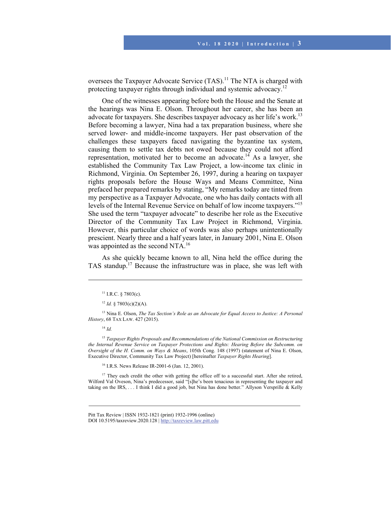oversees the Taxpayer Advocate Service (TAS).<sup>11</sup> The NTA is charged with protecting taxpayer rights through individual and systemic advocacy.12

One of the witnesses appearing before both the House and the Senate at the hearings was Nina E. Olson. Throughout her career, she has been an advocate for taxpayers. She describes taxpayer advocacy as her life's work.<sup>13</sup> Before becoming a lawyer, Nina had a tax preparation business, where she served lower- and middle-income taxpayers. Her past observation of the challenges these taxpayers faced navigating the byzantine tax system, causing them to settle tax debts not owed because they could not afford representation, motivated her to become an advocate.<sup>14</sup> As a lawyer, she established the Community Tax Law Project, a low-income tax clinic in Richmond, Virginia. On September 26, 1997, during a hearing on taxpayer rights proposals before the House Ways and Means Committee, Nina prefaced her prepared remarks by stating, "My remarks today are tinted from my perspective as a Taxpayer Advocate, one who has daily contacts with all levels of the Internal Revenue Service on behalf of low income taxpayers."15 She used the term "taxpayer advocate" to describe her role as the Executive Director of the Community Tax Law Project in Richmond, Virginia. However, this particular choice of words was also perhaps unintentionally prescient. Nearly three and a half years later, in January 2001, Nina E. Olson was appointed as the second NTA.<sup>16</sup>

As she quickly became known to all, Nina held the office during the TAS standup.17 Because the infrastructure was in place, she was left with

l

<sup>15</sup> *Taxpayer Rights Proposals and Recommendations of the National Commission on Restructuring the Internal Revenue Service on Taxpayer Protections and Rights: Hearing Before the Subcomm. on Oversight of the H. Comm. on Ways & Means*, 105th Cong. 148 (1997) (statement of Nina E. Olson, Executive Director, Community Tax Law Project) [hereinafter *Taxpayer Rights Hearing*].

<sup>16</sup> I.R.S. News Release IR-2001-6 (Jan. 12, 2001).

<sup>17</sup> They each credit the other with getting the office off to a successful start. After she retired, Wilford Val Oveson, Nina's predecessor, said "[s]he's been tenacious in representing the taxpayer and taking on the IRS, . . . I think I did a good job, but Nina has done better." Allyson Versprille & Kelly

 $11$  I.R.C. § 7803(c).

 $12$  *Id.* § 7803(c)(2)(A).

<sup>&</sup>lt;sup>13</sup> Nina E. Olson, *The Tax Section's Role as an Advocate for Equal Access to Justice: A Personal History*, 68 TAX LAW. 427 (2015).

<sup>14</sup> *Id.*

Pitt Tax Review | ISSN 1932-1821 (print) 1932-1996 (online) DOI 10.5195/taxreview.2020.128 | http://taxreview.law.pitt.edu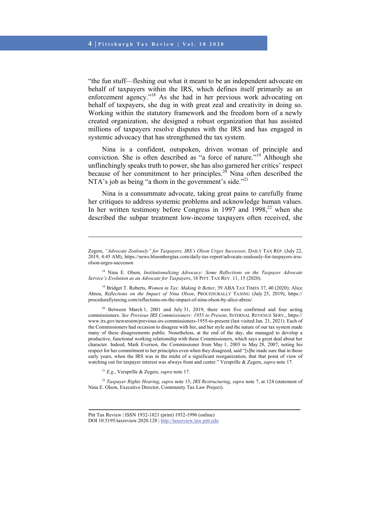"the fun stuff—fleshing out what it meant to be an independent advocate on behalf of taxpayers within the IRS, which defines itself primarily as an enforcement agency."18 As she had in her previous work advocating on behalf of taxpayers, she dug in with great zeal and creativity in doing so. Working within the statutory framework and the freedom born of a newly created organization, she designed a robust organization that has assisted millions of taxpayers resolve disputes with the IRS and has engaged in systemic advocacy that has strengthened the tax system.

Nina is a confident, outspoken, driven woman of principle and conviction. She is often described as "a force of nature."19 Although she unflinchingly speaks truth to power, she has also garnered her critics' respect because of her commitment to her principles.<sup>20</sup> Nina often described the NTA's job as being "a thorn in the government's side."<sup>21</sup>

Nina is a consummate advocate, taking great pains to carefully frame her critiques to address systemic problems and acknowledge human values. In her written testimony before Congress in 1997 and 1998, $^{22}$  when she described the subpar treatment low-income taxpayers often received, she

19 Bridget T. Roberts, *Women in Tax: Making It Better*, 39 ABA TAX TIMES 37, 40 (2020); Alice Abreu, *Reflections on the Impact of Nina Olson*, PROCEDURALLY TAXING (July 25, 2019), https:// procedurallytaxing.com/reflections-on-the-impact-of-nina-olson-by-alice-abreu/.

<sup>20</sup> Between March 1, 2001 and July 31, 2019, there were five confirmed and four acting commissioners. *See Previous IRS Commissioners: 1955 to Present*, INTERNAL REVENUE SERV., https:// www.irs.gov/newsroom/previous-irs-commissioners-1955-to-present (last visited Jan. 21, 2021). Each of the Commissioners had occasion to disagree with her, and her style and the nature of our tax system made many of these disagreements public. Nonetheless, at the end of the day, she managed to develop a productive, functional working relationship with these Commissioners, which says a great deal about her character. Indeed, Mark Everson, the Commissioner from May 1, 2003 to May 28, 2007, noting his respect for her commitment to her principles even when they disagreed, said "[s]he made sure that in those early years, when the IRS was in the midst of a significant reorganization, that that point of view of watching out for taxpayer interest was always front and center." Versprille & Zegers, *supra* note 17.

<sup>21</sup> *E.g.*, Versprille & Zegers, *supra* note 17.

l

<sup>22</sup> *Taxpayer Rights Hearing*, *supra* note 15; *IRS Restructuring*, *supra* note 7, at 124 (statement of Nina E. Olson, Executive Director, Community Tax Law Project).

Zegers, *"Advocate Zealously" for Taxpayers, IRS's Olson Urges Successor*, DAILY TAX REP. (July 22, 2019, 4:45 AM), https://news.bloombergtax.com/daily-tax-report/advocate-zealously-for-taxpayers-irssolson-urges-successor.

<sup>18</sup> Nina E. Olson, *Institutionalizing Advocacy: Some Reflections on the Taxpayer Advocate Service's Evolution as an Advocate for Taxpayers*, 18 PITT. TAX REV. 11, 15 (2020).

Pitt Tax Review | ISSN 1932-1821 (print) 1932-1996 (online) DOI 10.5195/taxreview.2020.128 | http://taxreview.law.pitt.edu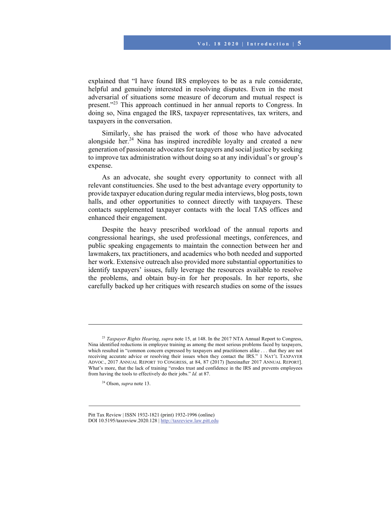explained that "I have found IRS employees to be as a rule considerate, helpful and genuinely interested in resolving disputes. Even in the most adversarial of situations some measure of decorum and mutual respect is present."<sup>23</sup> This approach continued in her annual reports to Congress. In doing so, Nina engaged the IRS, taxpayer representatives, tax writers, and taxpayers in the conversation.

Similarly, she has praised the work of those who have advocated alongside her. $24$  Nina has inspired incredible loyalty and created a new generation of passionate advocates for taxpayers and social justice by seeking to improve tax administration without doing so at any individual's or group's expense.

As an advocate, she sought every opportunity to connect with all relevant constituencies. She used to the best advantage every opportunity to provide taxpayer education during regular media interviews, blog posts, town halls, and other opportunities to connect directly with taxpayers. These contacts supplemented taxpayer contacts with the local TAS offices and enhanced their engagement.

Despite the heavy prescribed workload of the annual reports and congressional hearings, she used professional meetings, conferences, and public speaking engagements to maintain the connection between her and lawmakers, tax practitioners, and academics who both needed and supported her work. Extensive outreach also provided more substantial opportunities to identify taxpayers' issues, fully leverage the resources available to resolve the problems, and obtain buy-in for her proposals. In her reports, she carefully backed up her critiques with research studies on some of the issues

<sup>23</sup> *Taxpayer Rights Hearing*, *supra* note 15, at 148. In the 2017 NTA Annual Report to Congress, Nina identified reductions in employee training as among the most serious problems faced by taxpayers, which resulted in "common concern expressed by taxpayers and practitioners alike . . . that they are not receiving accurate advice or resolving their issues when they contact the IRS." 1 NAT'L TAXPAYER ADVOC., 2017 ANNUAL REPORT TO CONGRESS, at 84, 87 (2017) [hereinafter 2017 ANNUAL REPORT]. What's more, that the lack of training "erodes trust and confidence in the IRS and prevents employees from having the tools to effectively do their jobs." *Id.* at 87.

<sup>24</sup> Olson, *supra* note 13.

Pitt Tax Review | ISSN 1932-1821 (print) 1932-1996 (online) DOI 10.5195/taxreview.2020.128 | http://taxreview.law.pitt.edu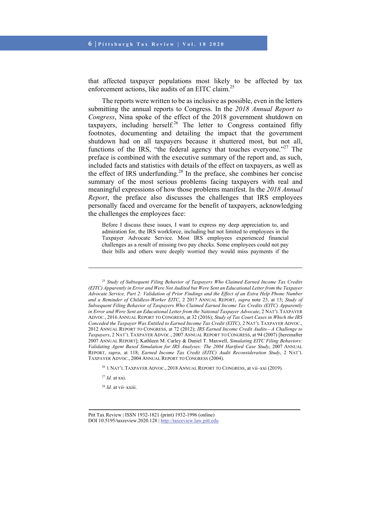that affected taxpayer populations most likely to be affected by tax enforcement actions, like audits of an EITC claim.<sup>25</sup>

The reports were written to be as inclusive as possible, even in the letters submitting the annual reports to Congress. In the *2018 Annual Report to Congress*, Nina spoke of the effect of the 2018 government shutdown on taxpayers, including herself.<sup>26</sup> The letter to Congress contained fifty footnotes, documenting and detailing the impact that the government shutdown had on all taxpayers because it shuttered most, but not all, functions of the IRS, "the federal agency that touches everyone."<sup>27</sup> The preface is combined with the executive summary of the report and, as such, included facts and statistics with details of the effect on taxpayers, as well as the effect of IRS underfunding.<sup>28</sup> In the preface, she combines her concise summary of the most serious problems facing taxpayers with real and meaningful expressions of how those problems manifest. In the *2018 Annual Report*, the preface also discusses the challenges that IRS employees personally faced and overcame for the benefit of taxpayers, acknowledging the challenges the employees face:

Before I discuss these issues, I want to express my deep appreciation to, and admiration for, the IRS workforce, including but not limited to employees in the Taxpayer Advocate Service. Most IRS employees experienced financial challenges as a result of missing two pay checks. Some employees could not pay their bills and others were deeply worried they would miss payments if the

<sup>26</sup> 1 NAT'L TAXPAYER ADVOC., 2018 ANNUAL REPORT TO CONGRESS, at vii-xxi (2019).

<sup>27</sup> *Id.* at xxi.

l

<sup>28</sup> *Id.* at vii–xxiii.

<sup>25</sup> *Study of Subsequent Filing Behavior of Taxpayers Who Claimed Earned Income Tax Credits (EITC) Apparently in Error and Were Not Audited but Were Sent an Educational Letter from the Taxpayer Advocate Service, Part 2: Validation of Prior Findings and the Effect of an Extra Help Phone Number and a Reminder of Childless-Worker EITC*, 2 2017 ANNUAL REPORT, *supra* note 23, at 13; *Study of Subsequent Filing Behavior of Taxpayers Who Claimed Earned Income Tax Credits (EITC) Apparently in Error and Were Sent an Educational Letter from the National Taxpayer Advocate*, 2 NAT'L TAXPAYER ADVOC., 2016 ANNUAL REPORT TO CONGRESS, at 32 (2016); *Study of Tax Court Cases in Which the IRS Conceded the Taxpayer Was Entitled to Earned Income Tax Credit (EITC)*, 2 NAT'L TAXPAYER ADVOC., 2012 ANNUAL REPORT TO CONGRESS, at 72 (2012); *IRS Earned Income Credit Audits—A Challenge to Taxpayers*, 2 NAT'L TAXPAYER ADVOC., 2007 ANNUAL REPORT TO CONGRESS, at 94 (2007) [hereinafter 2007 ANNUAL REPORT]; Kathleen M. Carley & Daniel T. Maxwell, *Simulating EITC Filing Behaviors: Validating Agent Based Simulation for IRS Analyses: The 2004 Hartford Case Study*, 2007 ANNUAL REPORT, *supra*, at 118; *Earned Income Tax Credit (EITC) Audit Reconsideration Study*, 2 NAT'L TAXPAYER ADVOC., 2004 ANNUAL REPORT TO CONGRESS (2004).

Pitt Tax Review | ISSN 1932-1821 (print) 1932-1996 (online) DOI 10.5195/taxreview.2020.128 | http://taxreview.law.pitt.edu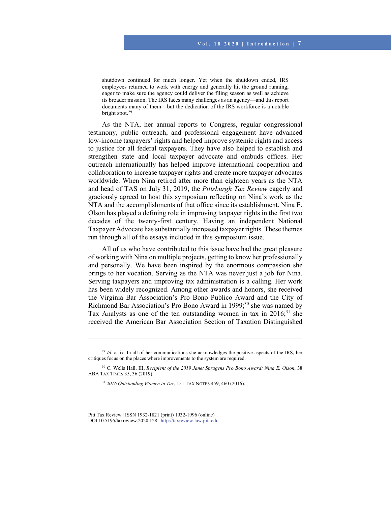shutdown continued for much longer. Yet when the shutdown ended, IRS employees returned to work with energy and generally hit the ground running, eager to make sure the agency could deliver the filing season as well as achieve its broader mission. The IRS faces many challenges as an agency—and this report documents many of them—but the dedication of the IRS workforce is a notable bright spot.29

As the NTA, her annual reports to Congress, regular congressional testimony, public outreach, and professional engagement have advanced low-income taxpayers' rights and helped improve systemic rights and access to justice for all federal taxpayers. They have also helped to establish and strengthen state and local taxpayer advocate and ombuds offices. Her outreach internationally has helped improve international cooperation and collaboration to increase taxpayer rights and create more taxpayer advocates worldwide. When Nina retired after more than eighteen years as the NTA and head of TAS on July 31, 2019, the *Pittsburgh Tax Review* eagerly and graciously agreed to host this symposium reflecting on Nina's work as the NTA and the accomplishments of that office since its establishment. Nina E. Olson has played a defining role in improving taxpayer rights in the first two decades of the twenty-first century. Having an independent National Taxpayer Advocate has substantially increased taxpayer rights. These themes run through all of the essays included in this symposium issue.

All of us who have contributed to this issue have had the great pleasure of working with Nina on multiple projects, getting to know her professionally and personally. We have been inspired by the enormous compassion she brings to her vocation. Serving as the NTA was never just a job for Nina. Serving taxpayers and improving tax administration is a calling. Her work has been widely recognized. Among other awards and honors, she received the Virginia Bar Association's Pro Bono Publico Award and the City of Richmond Bar Association's Pro Bono Award in 1999;<sup>30</sup> she was named by Tax Analysts as one of the ten outstanding women in tax in  $2016$ ;<sup>31</sup> she received the American Bar Association Section of Taxation Distinguished

<sup>&</sup>lt;sup>29</sup> *Id.* at ix. In all of her communications she acknowledges the positive aspects of the IRS, her critiques focus on the places where improvements to the system are required.

<sup>30</sup> C. Wells Hall, III, *Recipient of the 2019 Janet Spragens Pro Bono Award: Nina E. Olson*, 38 ABA TAX TIMES 35, 36 (2019).

<sup>31</sup> *2016 Outstanding Women in Tax*, 151 TAX NOTES 459, 460 (2016).

Pitt Tax Review | ISSN 1932-1821 (print) 1932-1996 (online) DOI 10.5195/taxreview.2020.128 | http://taxreview.law.pitt.edu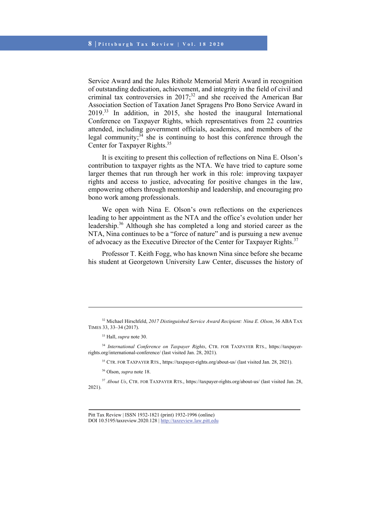Service Award and the Jules Ritholz Memorial Merit Award in recognition of outstanding dedication, achievement, and integrity in the field of civil and criminal tax controversies in  $2017$ <sup>32</sup> and she received the American Bar Association Section of Taxation Janet Spragens Pro Bono Service Award in 2019.33 In addition, in 2015, she hosted the inaugural International Conference on Taxpayer Rights, which representatives from 22 countries attended, including government officials, academics, and members of the legal community; $34$  she is continuing to host this conference through the Center for Taxpayer Rights.35

It is exciting to present this collection of reflections on Nina E. Olson's contribution to taxpayer rights as the NTA. We have tried to capture some larger themes that run through her work in this role: improving taxpayer rights and access to justice, advocating for positive changes in the law, empowering others through mentorship and leadership, and encouraging pro bono work among professionals.

We open with Nina E. Olson's own reflections on the experiences leading to her appointment as the NTA and the office's evolution under her leadership.<sup>36</sup> Although she has completed a long and storied career as the NTA, Nina continues to be a "force of nature" and is pursuing a new avenue of advocacy as the Executive Director of the Center for Taxpayer Rights.<sup>37</sup>

Professor T. Keith Fogg, who has known Nina since before she became his student at Georgetown University Law Center, discusses the history of

l

34 *International Conference on Taxpayer Rights*, CTR. FOR TAXPAYER RTS., https://taxpayerrights.org/international-conference/ (last visited Jan. 28, 2021).

35 CTR. FOR TAXPAYER RTS., https://taxpayer-rights.org/about-us/ (last visited Jan. 28, 2021).

<sup>37</sup> *About Us*, CTR. FOR TAXPAYER RTS., https://taxpayer-rights.org/about-us/ (last visited Jan. 28, 2021).

<sup>32</sup> Michael Hirschfeld, *2017 Distinguished Service Award Recipient: Nina E. Olson*, 36 ABA TAX TIMES 33, 33–34 (2017).

<sup>33</sup> Hall, *supra* note 30.

<sup>36</sup> Olson, *supra* note 18.

Pitt Tax Review | ISSN 1932-1821 (print) 1932-1996 (online) DOI 10.5195/taxreview.2020.128 | http://taxreview.law.pitt.edu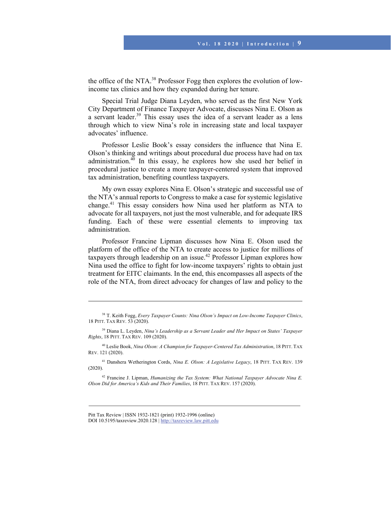the office of the NTA.<sup>38</sup> Professor Fogg then explores the evolution of lowincome tax clinics and how they expanded during her tenure.

Special Trial Judge Diana Leyden, who served as the first New York City Department of Finance Taxpayer Advocate, discusses Nina E. Olson as a servant leader.<sup>39</sup> This essay uses the idea of a servant leader as a lens through which to view Nina's role in increasing state and local taxpayer advocates' influence.

Professor Leslie Book's essay considers the influence that Nina E. Olson's thinking and writings about procedural due process have had on tax administration. $40$  In this essay, he explores how she used her belief in procedural justice to create a more taxpayer-centered system that improved tax administration, benefiting countless taxpayers.

My own essay explores Nina E. Olson's strategic and successful use of the NTA's annual reports to Congress to make a case for systemic legislative change.41 This essay considers how Nina used her platform as NTA to advocate for all taxpayers, not just the most vulnerable, and for adequate IRS funding. Each of these were essential elements to improving tax administration.

Professor Francine Lipman discusses how Nina E. Olson used the platform of the office of the NTA to create access to justice for millions of taxpayers through leadership on an issue.<sup>42</sup> Professor Lipman explores how Nina used the office to fight for low-income taxpayers' rights to obtain just treatment for EITC claimants. In the end, this encompasses all aspects of the role of the NTA, from direct advocacy for changes of law and policy to the

40 Leslie Book, *Nina Olson: A Champion for Taxpayer-Centered Tax Administration*, 18 PITT. TAX REV. 121 (2020).

41 Danshera Wetherington Cords, *Nina E. Olson: A Legislative Legacy*, 18 PITT. TAX REV. 139 (2020).

42 Francine J. Lipman, *Humanizing the Tax System: What National Taxpayer Advocate Nina E. Olson Did for America's Kids and Their Families*, 18 PITT. TAX REV. 157 (2020).

<sup>38</sup> T. Keith Fogg, *Every Taxpayer Counts: Nina Olson's Impact on Low-Income Taxpayer Clinics*, 18 PITT. TAX REV. 53 (2020).

<sup>39</sup> Diana L. Leyden, *Nina's Leadership as a Servant Leader and Her Impact on States' Taxpayer Rights*, 18 PITT. TAX REV. 109 (2020).

Pitt Tax Review | ISSN 1932-1821 (print) 1932-1996 (online) DOI 10.5195/taxreview.2020.128 | http://taxreview.law.pitt.edu